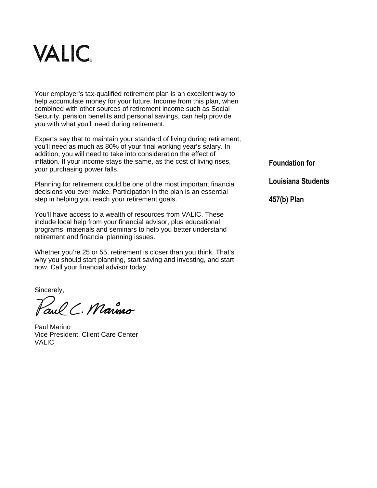

Your employer's tax-qualified retirement plan is an excellent way to help accumulate money for your future. Income from this plan, when combined with other sources of retirement income such as Social Security, pension benefits and personal savings, can help provide you with what you'll need during retirement.

Experts say that to maintain your standard of living during retirement, you'll need as much as 80% of your final working year's salary. In addition, you will need to take into consideration the effect of inflation. If your income stays the same, as the cost of living rises, your purchasing power falls.

Planning for retirement could be one of the most important financial decisions you ever make. Participation in the plan is an essential step in helping you reach your retirement goals.

You'll have access to a wealth of resources from VALIC. These include local help from your financial advisor, plus educational programs, materials and seminars to help you better understand retirement and financial planning issues.

Whether you're 25 or 55, retirement is closer than you think. That's why you should start planning, start saving and investing, and start now. Call your financial advisor today.

Sincerely,

aul C. Marino

Paul Marino Vice President, Client Care Center VALIC

**Foundation for** 

**Louisiana Students**

**457(b) Plan**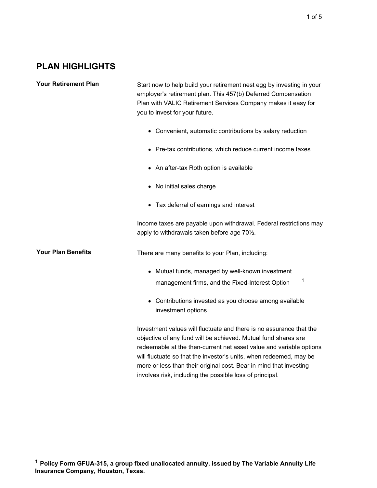## **PLAN HIGHLIGHTS**

Your Retirement Plan Start now to help build your retirement nest egg by investing in your employer's retirement plan. This 457(b) Deferred Compensation Plan with VALIC Retirement Services Company makes it easy for you to invest for your future.

- Convenient, automatic contributions by salary reduction
- Pre-tax contributions, which reduce current income taxes
- An after-tax Roth option is available
- No initial sales charge
- Tax deferral of earnings and interest

Income taxes are payable upon withdrawal. Federal restrictions may apply to withdrawals taken before age 70½.

**Your Plan Benefits** There are many benefits to your Plan, including:

- Mutual funds, managed by well-known investment management firms, and the Fixed-Interest Option 1
- Contributions invested as you choose among available investment options

Investment values will fluctuate and there is no assurance that the objective of any fund will be achieved. Mutual fund shares are redeemable at the then-current net asset value and variable options will fluctuate so that the investor's units, when redeemed, may be more or less than their original cost. Bear in mind that investing involves risk, including the possible loss of principal.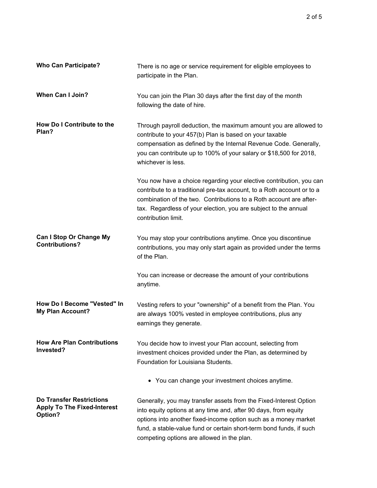| <b>Who Can Participate?</b>                                                      | There is no age or service requirement for eligible employees to<br>participate in the Plan.                                                                                                                                                                                                                                 |
|----------------------------------------------------------------------------------|------------------------------------------------------------------------------------------------------------------------------------------------------------------------------------------------------------------------------------------------------------------------------------------------------------------------------|
| <b>When Can I Join?</b>                                                          | You can join the Plan 30 days after the first day of the month<br>following the date of hire.                                                                                                                                                                                                                                |
| How Do I Contribute to the<br>Plan?                                              | Through payroll deduction, the maximum amount you are allowed to<br>contribute to your 457(b) Plan is based on your taxable<br>compensation as defined by the Internal Revenue Code. Generally,<br>you can contribute up to 100% of your salary or \$18,500 for 2018,<br>whichever is less.                                  |
|                                                                                  | You now have a choice regarding your elective contribution, you can<br>contribute to a traditional pre-tax account, to a Roth account or to a<br>combination of the two. Contributions to a Roth account are after-<br>tax. Regardless of your election, you are subject to the annual<br>contribution limit.                |
| <b>Can I Stop Or Change My</b><br><b>Contributions?</b>                          | You may stop your contributions anytime. Once you discontinue<br>contributions, you may only start again as provided under the terms<br>of the Plan.                                                                                                                                                                         |
|                                                                                  | You can increase or decrease the amount of your contributions<br>anytime.                                                                                                                                                                                                                                                    |
| How Do I Become "Vested" In<br><b>My Plan Account?</b>                           | Vesting refers to your "ownership" of a benefit from the Plan. You<br>are always 100% vested in employee contributions, plus any<br>earnings they generate.                                                                                                                                                                  |
| <b>How Are Plan Contributions</b><br>Invested?                                   | You decide how to invest your Plan account, selecting from<br>investment choices provided under the Plan, as determined by<br>Foundation for Louisiana Students.                                                                                                                                                             |
|                                                                                  | • You can change your investment choices anytime.                                                                                                                                                                                                                                                                            |
| <b>Do Transfer Restrictions</b><br><b>Apply To The Fixed-Interest</b><br>Option? | Generally, you may transfer assets from the Fixed-Interest Option<br>into equity options at any time and, after 90 days, from equity<br>options into another fixed-income option such as a money market<br>fund, a stable-value fund or certain short-term bond funds, if such<br>competing options are allowed in the plan. |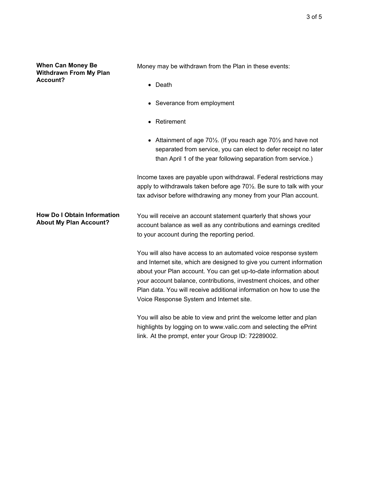**When Can Money Be Withdrawn From My Plan Account?**

Money may be withdrawn from the Plan in these events:

- Death
- Severance from employment
- Retirement
- Attainment of age 70½. (If you reach age 70½ and have not separated from service, you can elect to defer receipt no later than April 1 of the year following separation from service.)

Income taxes are payable upon withdrawal. Federal restrictions may apply to withdrawals taken before age 70½. Be sure to talk with your tax advisor before withdrawing any money from your Plan account.

**How Do I Obtain Information About My Plan Account?** You will receive an account statement quarterly that shows your account balance as well as any contributions and earnings credited to your account during the reporting period.

> You will also have access to an automated voice response system and Internet site, which are designed to give you current information about your Plan account. You can get up-to-date information about your account balance, contributions, investment choices, and other Plan data. You will receive additional information on how to use the Voice Response System and Internet site.

You will also be able to view and print the welcome letter and plan highlights by logging on to www.valic.com and selecting the ePrint link. At the prompt, enter your Group ID: 72289002.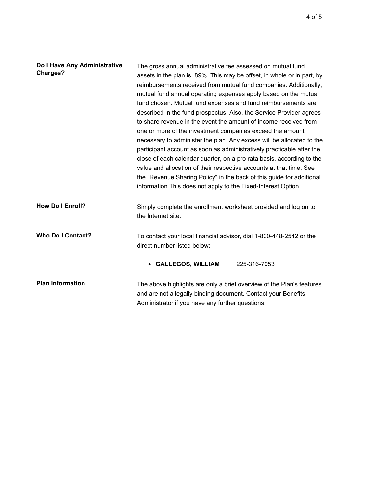| Do I Have Any Administrative<br><b>Charges?</b> | The gross annual administrative fee assessed on mutual fund<br>assets in the plan is .89%. This may be offset, in whole or in part, by<br>reimbursements received from mutual fund companies. Additionally,<br>mutual fund annual operating expenses apply based on the mutual<br>fund chosen. Mutual fund expenses and fund reimbursements are<br>described in the fund prospectus. Also, the Service Provider agrees<br>to share revenue in the event the amount of income received from<br>one or more of the investment companies exceed the amount<br>necessary to administer the plan. Any excess will be allocated to the<br>participant account as soon as administratively practicable after the<br>close of each calendar quarter, on a pro rata basis, according to the<br>value and allocation of their respective accounts at that time. See<br>the "Revenue Sharing Policy" in the back of this guide for additional<br>information. This does not apply to the Fixed-Interest Option. |
|-------------------------------------------------|------------------------------------------------------------------------------------------------------------------------------------------------------------------------------------------------------------------------------------------------------------------------------------------------------------------------------------------------------------------------------------------------------------------------------------------------------------------------------------------------------------------------------------------------------------------------------------------------------------------------------------------------------------------------------------------------------------------------------------------------------------------------------------------------------------------------------------------------------------------------------------------------------------------------------------------------------------------------------------------------------|
| <b>How Do I Enroll?</b>                         | Simply complete the enrollment worksheet provided and log on to<br>the Internet site.                                                                                                                                                                                                                                                                                                                                                                                                                                                                                                                                                                                                                                                                                                                                                                                                                                                                                                                |
| <b>Who Do I Contact?</b>                        | To contact your local financial advisor, dial 1-800-448-2542 or the<br>direct number listed below:                                                                                                                                                                                                                                                                                                                                                                                                                                                                                                                                                                                                                                                                                                                                                                                                                                                                                                   |
|                                                 | • GALLEGOS, WILLIAM<br>225-316-7953                                                                                                                                                                                                                                                                                                                                                                                                                                                                                                                                                                                                                                                                                                                                                                                                                                                                                                                                                                  |
| <b>Plan Information</b>                         | The above highlights are only a brief overview of the Plan's features<br>and are not a legally binding document. Contact your Benefits<br>Administrator if you have any further questions.                                                                                                                                                                                                                                                                                                                                                                                                                                                                                                                                                                                                                                                                                                                                                                                                           |